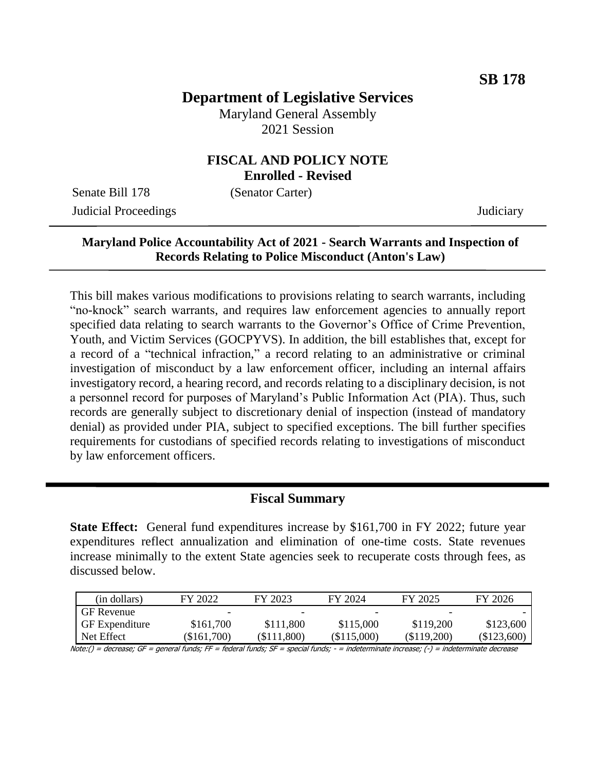# **Department of Legislative Services**

Maryland General Assembly 2021 Session

#### **FISCAL AND POLICY NOTE Enrolled - Revised**

Senate Bill 178 (Senator Carter)

Judicial Proceedings Judiciary

### **Maryland Police Accountability Act of 2021 - Search Warrants and Inspection of Records Relating to Police Misconduct (Anton's Law)**

This bill makes various modifications to provisions relating to search warrants, including "no-knock" search warrants, and requires law enforcement agencies to annually report specified data relating to search warrants to the Governor's Office of Crime Prevention, Youth, and Victim Services (GOCPYVS). In addition, the bill establishes that, except for a record of a "technical infraction," a record relating to an administrative or criminal investigation of misconduct by a law enforcement officer, including an internal affairs investigatory record, a hearing record, and records relating to a disciplinary decision, is not a personnel record for purposes of Maryland's Public Information Act (PIA). Thus, such records are generally subject to discretionary denial of inspection (instead of mandatory denial) as provided under PIA, subject to specified exceptions. The bill further specifies requirements for custodians of specified records relating to investigations of misconduct by law enforcement officers.

#### **Fiscal Summary**

**State Effect:** General fund expenditures increase by \$161,700 in FY 2022; future year expenditures reflect annualization and elimination of one-time costs. State revenues increase minimally to the extent State agencies seek to recuperate costs through fees, as discussed below.

| (in dollars)          | FY 2022   | FY 2023       | FY 2024     | FY 2025       | FY 2026       |
|-----------------------|-----------|---------------|-------------|---------------|---------------|
| <b>GF</b> Revenue     | -         |               |             |               |               |
| <b>GF</b> Expenditure | \$161,700 | \$111,800     | \$115,000   | \$119,200     | \$123,600     |
| Net Effect            | \$161,700 | $(\$111,800)$ | (\$115,000) | $(\$119,200)$ | $(\$123,600)$ |

Note:() = decrease; GF = general funds; FF = federal funds; SF = special funds; - = indeterminate increase; (-) = indeterminate decrease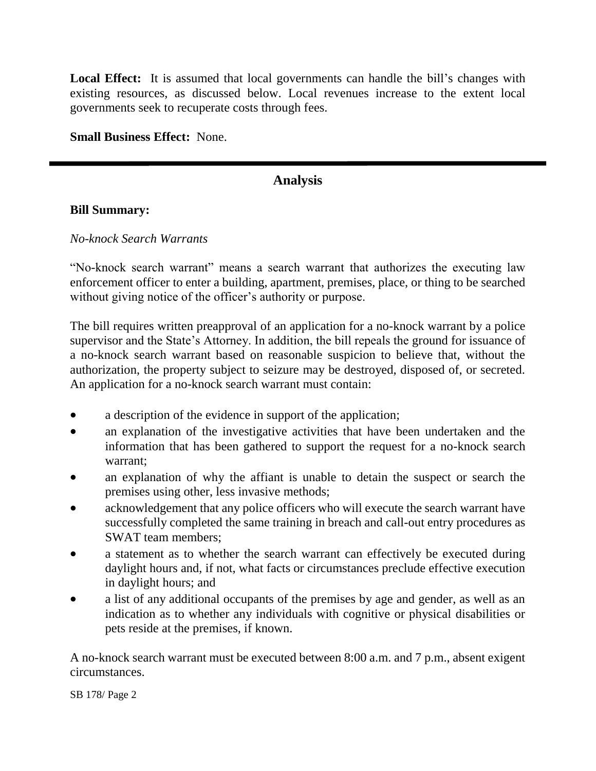Local Effect: It is assumed that local governments can handle the bill's changes with existing resources, as discussed below. Local revenues increase to the extent local governments seek to recuperate costs through fees.

**Small Business Effect:** None.

## **Analysis**

#### **Bill Summary:**

#### *No-knock Search Warrants*

"No-knock search warrant" means a search warrant that authorizes the executing law enforcement officer to enter a building, apartment, premises, place, or thing to be searched without giving notice of the officer's authority or purpose.

The bill requires written preapproval of an application for a no-knock warrant by a police supervisor and the State's Attorney. In addition, the bill repeals the ground for issuance of a no-knock search warrant based on reasonable suspicion to believe that, without the authorization, the property subject to seizure may be destroyed, disposed of, or secreted. An application for a no-knock search warrant must contain:

- a description of the evidence in support of the application;
- an explanation of the investigative activities that have been undertaken and the information that has been gathered to support the request for a no-knock search warrant;
- an explanation of why the affiant is unable to detain the suspect or search the premises using other, less invasive methods;
- acknowledgement that any police officers who will execute the search warrant have successfully completed the same training in breach and call-out entry procedures as SWAT team members;
- a statement as to whether the search warrant can effectively be executed during daylight hours and, if not, what facts or circumstances preclude effective execution in daylight hours; and
- a list of any additional occupants of the premises by age and gender, as well as an indication as to whether any individuals with cognitive or physical disabilities or pets reside at the premises, if known.

A no-knock search warrant must be executed between 8:00 a.m. and 7 p.m., absent exigent circumstances.

SB 178/ Page 2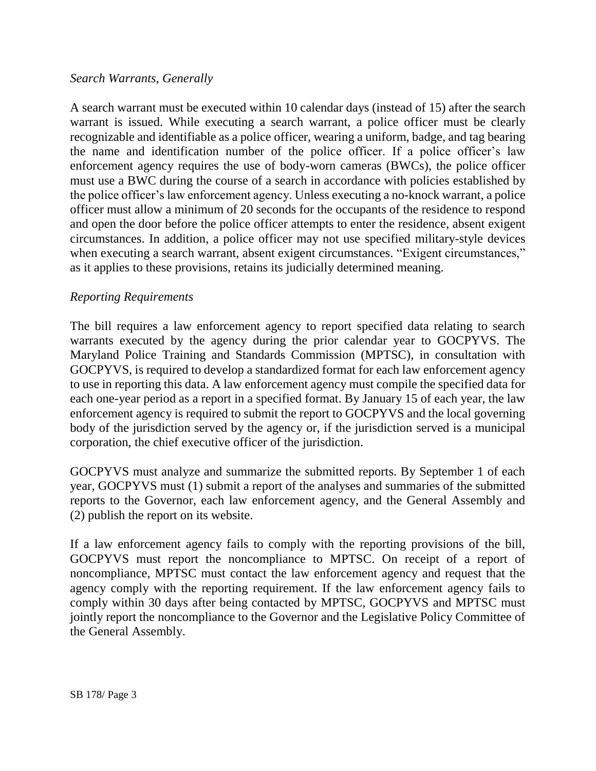#### *Search Warrants, Generally*

A search warrant must be executed within 10 calendar days (instead of 15) after the search warrant is issued. While executing a search warrant, a police officer must be clearly recognizable and identifiable as a police officer, wearing a uniform, badge, and tag bearing the name and identification number of the police officer. If a police officer's law enforcement agency requires the use of body-worn cameras (BWCs), the police officer must use a BWC during the course of a search in accordance with policies established by the police officer's law enforcement agency. Unless executing a no-knock warrant, a police officer must allow a minimum of 20 seconds for the occupants of the residence to respond and open the door before the police officer attempts to enter the residence, absent exigent circumstances. In addition, a police officer may not use specified military-style devices when executing a search warrant, absent exigent circumstances. "Exigent circumstances," as it applies to these provisions, retains its judicially determined meaning.

#### *Reporting Requirements*

The bill requires a law enforcement agency to report specified data relating to search warrants executed by the agency during the prior calendar year to GOCPYVS. The Maryland Police Training and Standards Commission (MPTSC), in consultation with GOCPYVS, is required to develop a standardized format for each law enforcement agency to use in reporting this data. A law enforcement agency must compile the specified data for each one-year period as a report in a specified format. By January 15 of each year, the law enforcement agency is required to submit the report to GOCPYVS and the local governing body of the jurisdiction served by the agency or, if the jurisdiction served is a municipal corporation, the chief executive officer of the jurisdiction.

GOCPYVS must analyze and summarize the submitted reports. By September 1 of each year, GOCPYVS must (1) submit a report of the analyses and summaries of the submitted reports to the Governor, each law enforcement agency, and the General Assembly and (2) publish the report on its website.

If a law enforcement agency fails to comply with the reporting provisions of the bill, GOCPYVS must report the noncompliance to MPTSC. On receipt of a report of noncompliance, MPTSC must contact the law enforcement agency and request that the agency comply with the reporting requirement. If the law enforcement agency fails to comply within 30 days after being contacted by MPTSC, GOCPYVS and MPTSC must jointly report the noncompliance to the Governor and the Legislative Policy Committee of the General Assembly.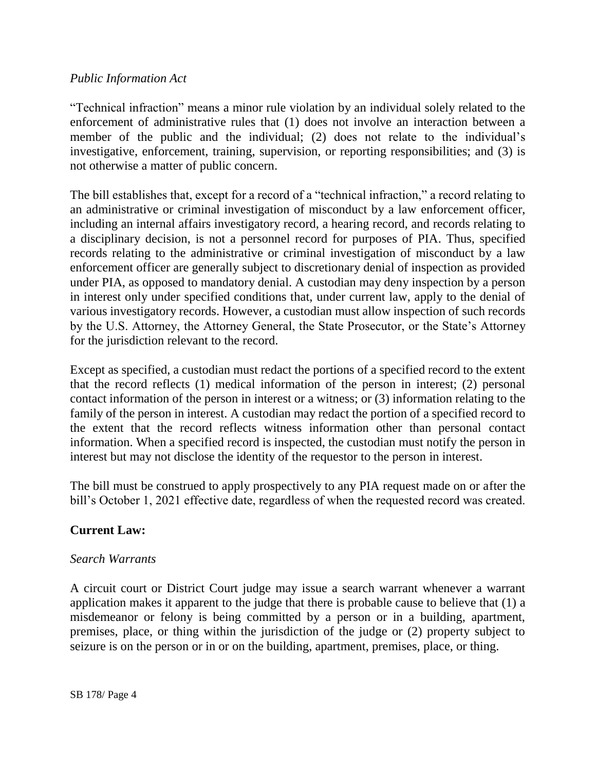#### *Public Information Act*

"Technical infraction" means a minor rule violation by an individual solely related to the enforcement of administrative rules that (1) does not involve an interaction between a member of the public and the individual; (2) does not relate to the individual's investigative, enforcement, training, supervision, or reporting responsibilities; and (3) is not otherwise a matter of public concern.

The bill establishes that, except for a record of a "technical infraction," a record relating to an administrative or criminal investigation of misconduct by a law enforcement officer, including an internal affairs investigatory record, a hearing record, and records relating to a disciplinary decision, is not a personnel record for purposes of PIA. Thus, specified records relating to the administrative or criminal investigation of misconduct by a law enforcement officer are generally subject to discretionary denial of inspection as provided under PIA, as opposed to mandatory denial. A custodian may deny inspection by a person in interest only under specified conditions that, under current law, apply to the denial of various investigatory records. However, a custodian must allow inspection of such records by the U.S. Attorney, the Attorney General, the State Prosecutor, or the State's Attorney for the jurisdiction relevant to the record.

Except as specified, a custodian must redact the portions of a specified record to the extent that the record reflects (1) medical information of the person in interest; (2) personal contact information of the person in interest or a witness; or (3) information relating to the family of the person in interest. A custodian may redact the portion of a specified record to the extent that the record reflects witness information other than personal contact information. When a specified record is inspected, the custodian must notify the person in interest but may not disclose the identity of the requestor to the person in interest.

The bill must be construed to apply prospectively to any PIA request made on or after the bill's October 1, 2021 effective date, regardless of when the requested record was created.

### **Current Law:**

#### *Search Warrants*

A circuit court or District Court judge may issue a search warrant whenever a warrant application makes it apparent to the judge that there is probable cause to believe that (1) a misdemeanor or felony is being committed by a person or in a building, apartment, premises, place, or thing within the jurisdiction of the judge or (2) property subject to seizure is on the person or in or on the building, apartment, premises, place, or thing.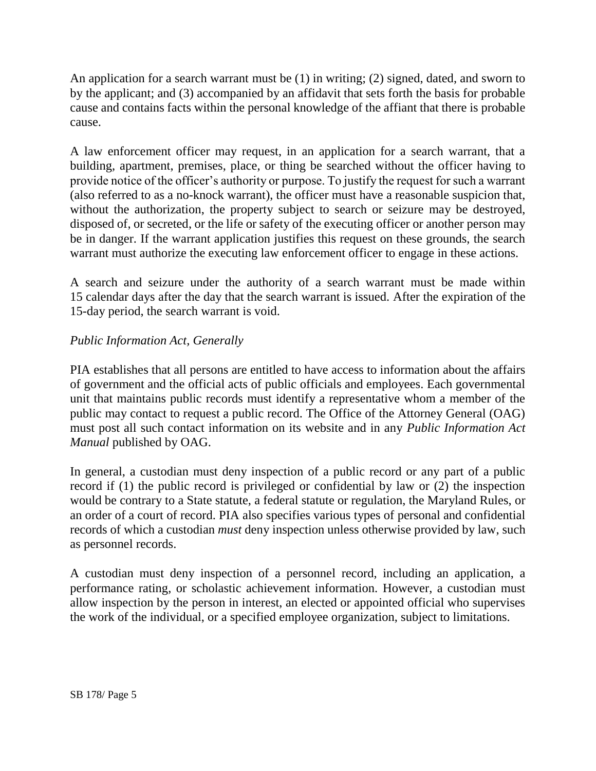An application for a search warrant must be (1) in writing; (2) signed, dated, and sworn to by the applicant; and (3) accompanied by an affidavit that sets forth the basis for probable cause and contains facts within the personal knowledge of the affiant that there is probable cause.

A law enforcement officer may request, in an application for a search warrant, that a building, apartment, premises, place, or thing be searched without the officer having to provide notice of the officer's authority or purpose. To justify the request for such a warrant (also referred to as a no-knock warrant), the officer must have a reasonable suspicion that, without the authorization, the property subject to search or seizure may be destroyed, disposed of, or secreted, or the life or safety of the executing officer or another person may be in danger. If the warrant application justifies this request on these grounds, the search warrant must authorize the executing law enforcement officer to engage in these actions.

A search and seizure under the authority of a search warrant must be made within 15 calendar days after the day that the search warrant is issued. After the expiration of the 15-day period, the search warrant is void.

### *Public Information Act, Generally*

PIA establishes that all persons are entitled to have access to information about the affairs of government and the official acts of public officials and employees. Each governmental unit that maintains public records must identify a representative whom a member of the public may contact to request a public record. The Office of the Attorney General (OAG) must post all such contact information on its website and in any *Public Information Act Manual* published by OAG.

In general, a custodian must deny inspection of a public record or any part of a public record if (1) the public record is privileged or confidential by law or (2) the inspection would be contrary to a State statute, a federal statute or regulation, the Maryland Rules, or an order of a court of record. PIA also specifies various types of personal and confidential records of which a custodian *must* deny inspection unless otherwise provided by law, such as personnel records.

A custodian must deny inspection of a personnel record, including an application, a performance rating, or scholastic achievement information. However, a custodian must allow inspection by the person in interest, an elected or appointed official who supervises the work of the individual, or a specified employee organization, subject to limitations.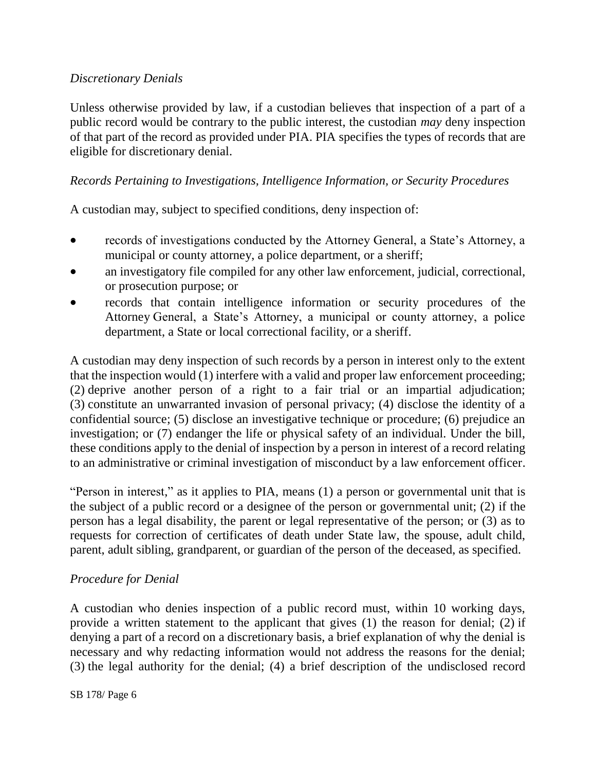### *Discretionary Denials*

Unless otherwise provided by law, if a custodian believes that inspection of a part of a public record would be contrary to the public interest, the custodian *may* deny inspection of that part of the record as provided under PIA. PIA specifies the types of records that are eligible for discretionary denial.

### *Records Pertaining to Investigations, Intelligence Information, or Security Procedures*

A custodian may, subject to specified conditions, deny inspection of:

- records of investigations conducted by the Attorney General, a State's Attorney, a municipal or county attorney, a police department, or a sheriff;
- an investigatory file compiled for any other law enforcement, judicial, correctional, or prosecution purpose; or
- records that contain intelligence information or security procedures of the Attorney General, a State's Attorney, a municipal or county attorney, a police department, a State or local correctional facility, or a sheriff.

A custodian may deny inspection of such records by a person in interest only to the extent that the inspection would (1) interfere with a valid and proper law enforcement proceeding; (2) deprive another person of a right to a fair trial or an impartial adjudication; (3) constitute an unwarranted invasion of personal privacy; (4) disclose the identity of a confidential source; (5) disclose an investigative technique or procedure; (6) prejudice an investigation; or (7) endanger the life or physical safety of an individual. Under the bill, these conditions apply to the denial of inspection by a person in interest of a record relating to an administrative or criminal investigation of misconduct by a law enforcement officer.

"Person in interest," as it applies to PIA, means (1) a person or governmental unit that is the subject of a public record or a designee of the person or governmental unit; (2) if the person has a legal disability, the parent or legal representative of the person; or (3) as to requests for correction of certificates of death under State law, the spouse, adult child, parent, adult sibling, grandparent, or guardian of the person of the deceased, as specified.

### *Procedure for Denial*

A custodian who denies inspection of a public record must, within 10 working days, provide a written statement to the applicant that gives (1) the reason for denial; (2) if denying a part of a record on a discretionary basis, a brief explanation of why the denial is necessary and why redacting information would not address the reasons for the denial; (3) the legal authority for the denial; (4) a brief description of the undisclosed record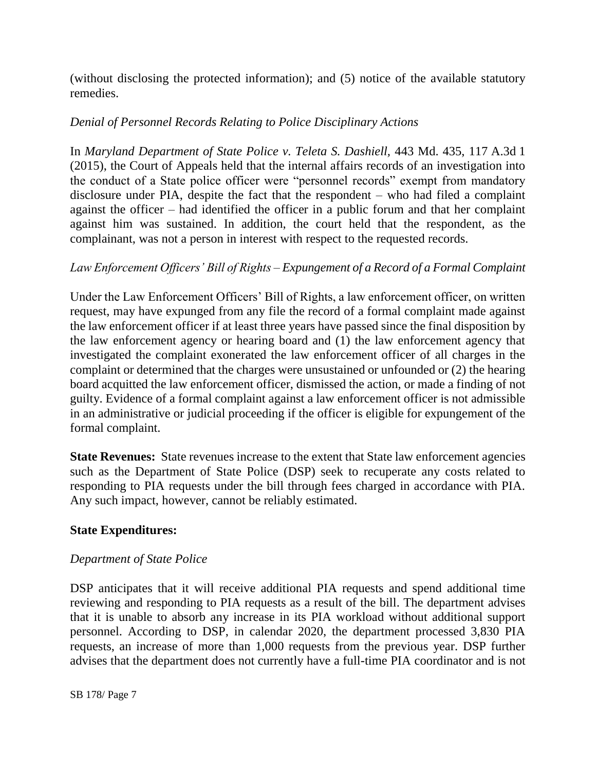(without disclosing the protected information); and (5) notice of the available statutory remedies.

### *Denial of Personnel Records Relating to Police Disciplinary Actions*

In *Maryland Department of State Police v. Teleta S. Dashiell,* 443 Md. 435, 117 A.3d 1 (2015), the Court of Appeals held that the internal affairs records of an investigation into the conduct of a State police officer were "personnel records" exempt from mandatory disclosure under PIA, despite the fact that the respondent – who had filed a complaint against the officer – had identified the officer in a public forum and that her complaint against him was sustained. In addition, the court held that the respondent, as the complainant, was not a person in interest with respect to the requested records.

### *Law Enforcement Officers' Bill of Rights – Expungement of a Record of a Formal Complaint*

Under the Law Enforcement Officers' Bill of Rights, a law enforcement officer, on written request, may have expunged from any file the record of a formal complaint made against the law enforcement officer if at least three years have passed since the final disposition by the law enforcement agency or hearing board and (1) the law enforcement agency that investigated the complaint exonerated the law enforcement officer of all charges in the complaint or determined that the charges were unsustained or unfounded or (2) the hearing board acquitted the law enforcement officer, dismissed the action, or made a finding of not guilty. Evidence of a formal complaint against a law enforcement officer is not admissible in an administrative or judicial proceeding if the officer is eligible for expungement of the formal complaint.

**State Revenues:** State revenues increase to the extent that State law enforcement agencies such as the Department of State Police (DSP) seek to recuperate any costs related to responding to PIA requests under the bill through fees charged in accordance with PIA. Any such impact, however, cannot be reliably estimated.

### **State Expenditures:**

### *Department of State Police*

DSP anticipates that it will receive additional PIA requests and spend additional time reviewing and responding to PIA requests as a result of the bill. The department advises that it is unable to absorb any increase in its PIA workload without additional support personnel. According to DSP, in calendar 2020, the department processed 3,830 PIA requests, an increase of more than 1,000 requests from the previous year. DSP further advises that the department does not currently have a full-time PIA coordinator and is not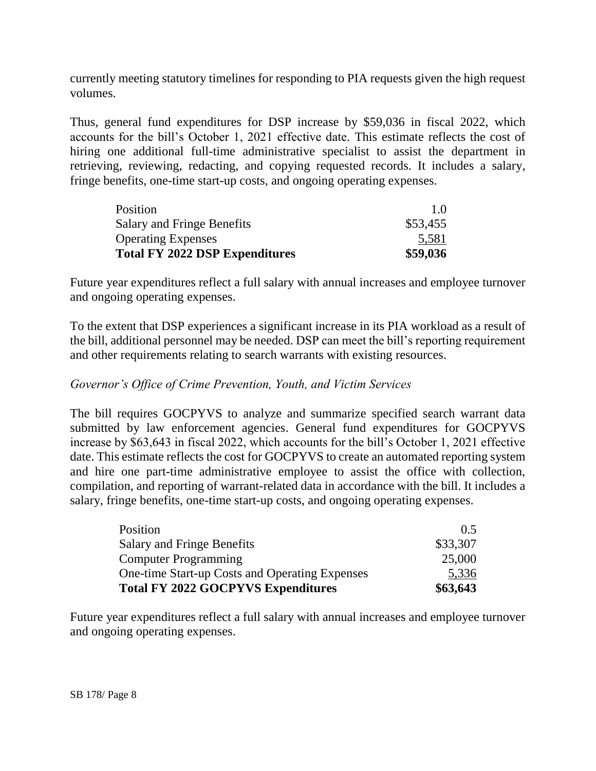currently meeting statutory timelines for responding to PIA requests given the high request volumes.

Thus, general fund expenditures for DSP increase by \$59,036 in fiscal 2022, which accounts for the bill's October 1, 2021 effective date*.* This estimate reflects the cost of hiring one additional full-time administrative specialist to assist the department in retrieving, reviewing, redacting, and copying requested records. It includes a salary, fringe benefits, one-time start-up costs, and ongoing operating expenses.

| Position                              | 10       |
|---------------------------------------|----------|
| <b>Salary and Fringe Benefits</b>     | \$53,455 |
| <b>Operating Expenses</b>             | 5,581    |
| <b>Total FY 2022 DSP Expenditures</b> | \$59,036 |

Future year expenditures reflect a full salary with annual increases and employee turnover and ongoing operating expenses.

To the extent that DSP experiences a significant increase in its PIA workload as a result of the bill, additional personnel may be needed. DSP can meet the bill's reporting requirement and other requirements relating to search warrants with existing resources.

### *Governor's Office of Crime Prevention, Youth, and Victim Services*

The bill requires GOCPYVS to analyze and summarize specified search warrant data submitted by law enforcement agencies. General fund expenditures for GOCPYVS increase by \$63,643 in fiscal 2022, which accounts for the bill's October 1, 2021 effective date. This estimate reflects the cost for GOCPYVS to create an automated reporting system and hire one part-time administrative employee to assist the office with collection, compilation, and reporting of warrant-related data in accordance with the bill. It includes a salary, fringe benefits, one-time start-up costs, and ongoing operating expenses.

| <b>Total FY 2022 GOCPYVS Expenditures</b>      | \$63,643      |
|------------------------------------------------|---------------|
| One-time Start-up Costs and Operating Expenses | 5,336         |
| <b>Computer Programming</b>                    | 25,000        |
| <b>Salary and Fringe Benefits</b>              | \$33,307      |
| Position                                       | $0.5^{\circ}$ |

Future year expenditures reflect a full salary with annual increases and employee turnover and ongoing operating expenses.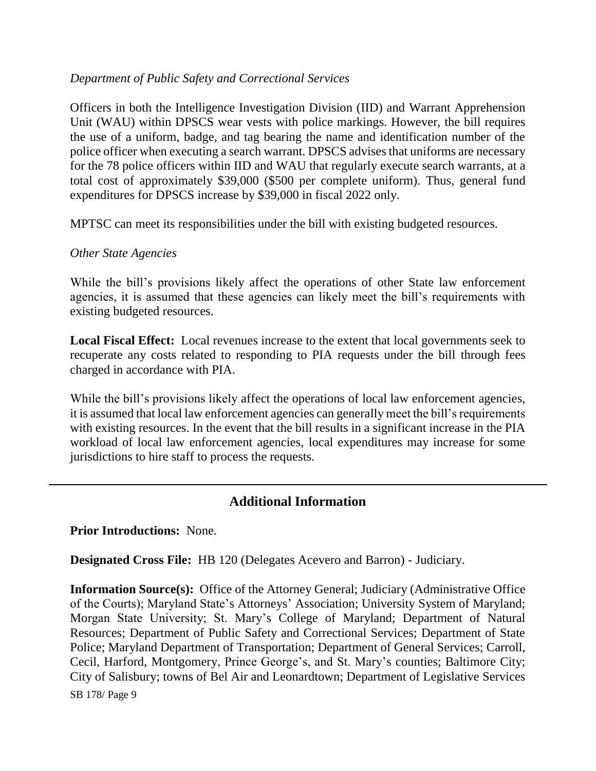### *Department of Public Safety and Correctional Services*

Officers in both the Intelligence Investigation Division (IID) and Warrant Apprehension Unit (WAU) within DPSCS wear vests with police markings. However, the bill requires the use of a uniform, badge, and tag bearing the name and identification number of the police officer when executing a search warrant. DPSCS advises that uniforms are necessary for the 78 police officers within IID and WAU that regularly execute search warrants, at a total cost of approximately \$39,000 (\$500 per complete uniform). Thus, general fund expenditures for DPSCS increase by \$39,000 in fiscal 2022 only.

MPTSC can meet its responsibilities under the bill with existing budgeted resources.

#### *Other State Agencies*

While the bill's provisions likely affect the operations of other State law enforcement agencies, it is assumed that these agencies can likely meet the bill's requirements with existing budgeted resources.

**Local Fiscal Effect:** Local revenues increase to the extent that local governments seek to recuperate any costs related to responding to PIA requests under the bill through fees charged in accordance with PIA.

While the bill's provisions likely affect the operations of local law enforcement agencies, it is assumed that local law enforcement agencies can generally meet the bill's requirements with existing resources. In the event that the bill results in a significant increase in the PIA workload of local law enforcement agencies, local expenditures may increase for some jurisdictions to hire staff to process the requests.

## **Additional Information**

**Prior Introductions:** None.

**Designated Cross File:** HB 120 (Delegates Acevero and Barron) - Judiciary.

SB 178/ Page 9 **Information Source(s):** Office of the Attorney General; Judiciary (Administrative Office of the Courts); Maryland State's Attorneys' Association; University System of Maryland; Morgan State University; St. Mary's College of Maryland; Department of Natural Resources; Department of Public Safety and Correctional Services; Department of State Police; Maryland Department of Transportation; Department of General Services; Carroll, Cecil, Harford, Montgomery, Prince George's, and St. Mary's counties; Baltimore City; City of Salisbury; towns of Bel Air and Leonardtown; Department of Legislative Services